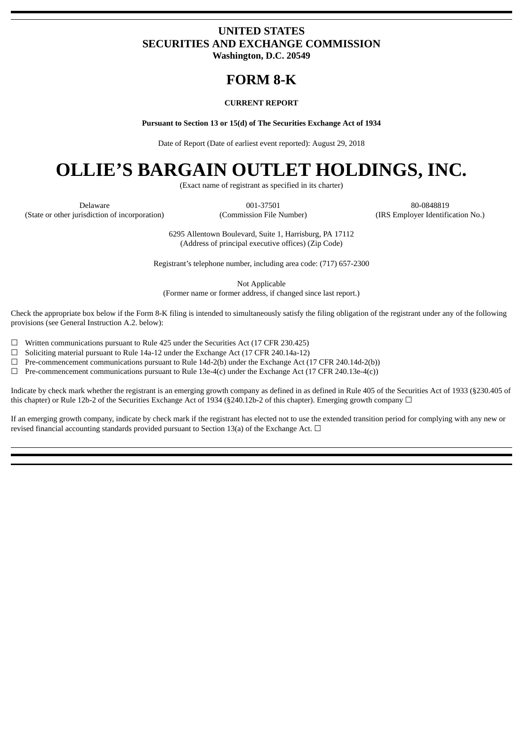### **UNITED STATES SECURITIES AND EXCHANGE COMMISSION Washington, D.C. 20549**

## **FORM 8-K**

#### **CURRENT REPORT**

**Pursuant to Section 13 or 15(d) of The Securities Exchange Act of 1934**

Date of Report (Date of earliest event reported): August 29, 2018

# **OLLIE'S BARGAIN OUTLET HOLDINGS, INC.**

(Exact name of registrant as specified in its charter)

(State or other jurisdiction of incorporation) (Commission File Number) (IRS Employer Identification No.)

Delaware 001-37501 80-0848819

6295 Allentown Boulevard, Suite 1, Harrisburg, PA 17112 (Address of principal executive offices) (Zip Code)

Registrant's telephone number, including area code: (717) 657-2300

Not Applicable (Former name or former address, if changed since last report.)

Check the appropriate box below if the Form 8-K filing is intended to simultaneously satisfy the filing obligation of the registrant under any of the following provisions (see General Instruction A.2. below):

 $\Box$  Written communications pursuant to Rule 425 under the Securities Act (17 CFR 230.425)

 $\Box$  Soliciting material pursuant to Rule 14a-12 under the Exchange Act (17 CFR 240.14a-12)

 $\Box$  Pre-commencement communications pursuant to Rule 14d-2(b) under the Exchange Act (17 CFR 240.14d-2(b))

 $\Box$  Pre-commencement communications pursuant to Rule 13e-4(c) under the Exchange Act (17 CFR 240.13e-4(c))

Indicate by check mark whether the registrant is an emerging growth company as defined in as defined in Rule 405 of the Securities Act of 1933 (§230.405 of this chapter) or Rule 12b-2 of the Securities Exchange Act of 1934 (§240.12b-2 of this chapter). Emerging growth company  $\Box$ 

If an emerging growth company, indicate by check mark if the registrant has elected not to use the extended transition period for complying with any new or revised financial accounting standards provided pursuant to Section 13(a) of the Exchange Act.  $\Box$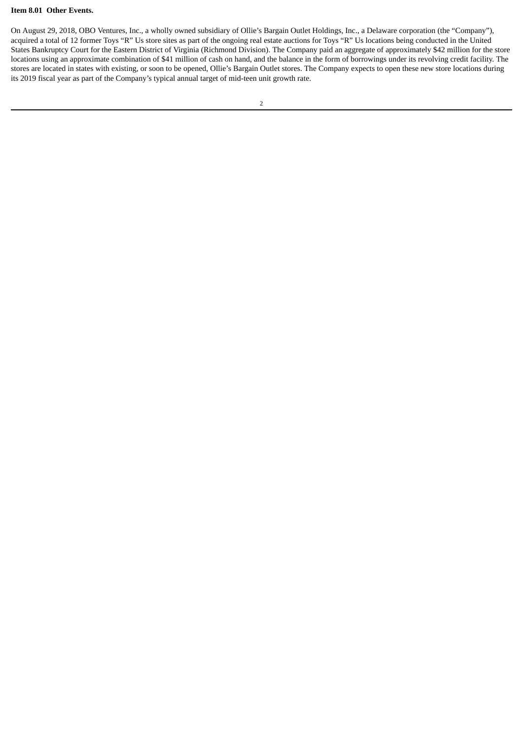### **Item 8.01 Other Events.**

On August 29, 2018, OBO Ventures, Inc., a wholly owned subsidiary of Ollie's Bargain Outlet Holdings, Inc., a Delaware corporation (the "Company"), acquired a total of 12 former Toys "R" Us store sites as part of the ongoing real estate auctions for Toys "R" Us locations being conducted in the United States Bankruptcy Court for the Eastern District of Virginia (Richmond Division). The Company paid an aggregate of approximately \$42 million for the store locations using an approximate combination of \$41 million of cash on hand, and the balance in the form of borrowings under its revolving credit facility. The stores are located in states with existing, or soon to be opened, Ollie's Bargain Outlet stores. The Company expects to open these new store locations during its 2019 fiscal year as part of the Company's typical annual target of mid-teen unit growth rate.